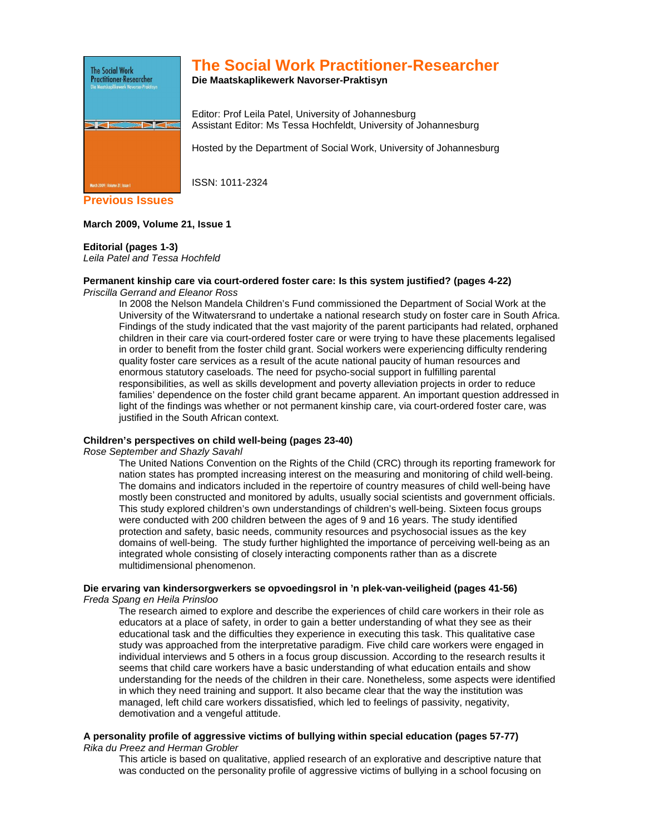

# **The Social Work Practitioner-Researcher**

**Die Maatskaplikewerk Navorser-Praktisyn** 

Editor: Prof Leila Patel, University of Johannesburg Assistant Editor: Ms Tessa Hochfeldt, University of Johannesburg

Hosted by the Department of Social Work, University of Johannesburg

ISSN: 1011-2324

**Previous Issues** 

## **March 2009, Volume 21, Issue 1**

## **Editorial (pages 1-3)**

Leila Patel and Tessa Hochfeld

#### **Permanent kinship care via court-ordered foster care: Is this system justified? (pages 4-22)**  Priscilla Gerrand and Eleanor Ross

In 2008 the Nelson Mandela Children's Fund commissioned the Department of Social Work at the University of the Witwatersrand to undertake a national research study on foster care in South Africa. Findings of the study indicated that the vast majority of the parent participants had related, orphaned children in their care via court-ordered foster care or were trying to have these placements legalised in order to benefit from the foster child grant. Social workers were experiencing difficulty rendering quality foster care services as a result of the acute national paucity of human resources and enormous statutory caseloads. The need for psycho-social support in fulfilling parental responsibilities, as well as skills development and poverty alleviation projects in order to reduce families' dependence on the foster child grant became apparent. An important question addressed in light of the findings was whether or not permanent kinship care, via court-ordered foster care, was justified in the South African context.

## **Children's perspectives on child well-being (pages 23-40)**

Rose September and Shazly Savahl

The United Nations Convention on the Rights of the Child (CRC) through its reporting framework for nation states has prompted increasing interest on the measuring and monitoring of child well-being. The domains and indicators included in the repertoire of country measures of child well-being have mostly been constructed and monitored by adults, usually social scientists and government officials. This study explored children's own understandings of children's well-being. Sixteen focus groups were conducted with 200 children between the ages of 9 and 16 years. The study identified protection and safety, basic needs, community resources and psychosocial issues as the key domains of well-being. The study further highlighted the importance of perceiving well-being as an integrated whole consisting of closely interacting components rather than as a discrete multidimensional phenomenon.

## **Die ervaring van kindersorgwerkers se opvoedingsrol in 'n plek-van-veiligheid (pages 41-56)**

Freda Spang en Heila Prinsloo

The research aimed to explore and describe the experiences of child care workers in their role as educators at a place of safety, in order to gain a better understanding of what they see as their educational task and the difficulties they experience in executing this task. This qualitative case study was approached from the interpretative paradigm. Five child care workers were engaged in individual interviews and 5 others in a focus group discussion. According to the research results it seems that child care workers have a basic understanding of what education entails and show understanding for the needs of the children in their care. Nonetheless, some aspects were identified in which they need training and support. It also became clear that the way the institution was managed, left child care workers dissatisfied, which led to feelings of passivity, negativity, demotivation and a vengeful attitude.

## **A personality profile of aggressive victims of bullying within special education (pages 57-77)**  Rika du Preez and Herman Grobler

This article is based on qualitative, applied research of an explorative and descriptive nature that was conducted on the personality profile of aggressive victims of bullying in a school focusing on